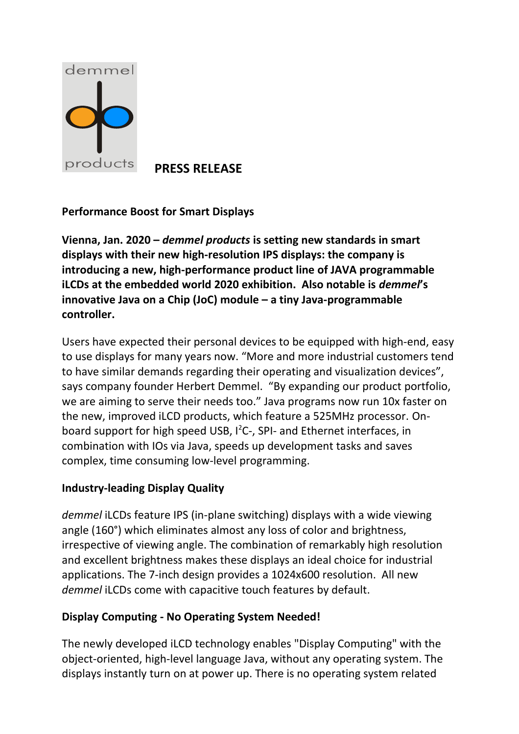

**PRESS RELEASE** 

**Performance Boost for Smart Displays** 

**Vienna, Jan. 2020 –** *demmel products* **is setting new standards in smart displays with their new high-resolution IPS displays: the company is introducing a new, high-performance product line of JAVA programmable iLCDs at the embedded world 2020 exhibition. Also notable is** *demmel***'s innovative Java on a Chip (JoC) module – a tiny Java-programmable controller.** 

Users have expected their personal devices to be equipped with high-end, easy to use displays for many years now. "More and more industrial customers tend to have similar demands regarding their operating and visualization devices", says company founder Herbert Demmel. "By expanding our product portfolio, we are aiming to serve their needs too." Java programs now run 10x faster on the new, improved iLCD products, which feature a 525MHz processor. Onboard support for high speed USB, I<sup>2</sup>C-, SPI- and Ethernet interfaces, in combination with IOs via Java, speeds up development tasks and saves complex, time consuming low-level programming.

# **Industry-leading Display Quality**

*demmel* iLCDs feature IPS (in-plane switching) displays with a wide viewing angle (160°) which eliminates almost any loss of color and brightness, irrespective of viewing angle. The combination of remarkably high resolution and excellent brightness makes these displays an ideal choice for industrial applications. The 7-inch design provides a 1024x600 resolution. All new *demmel* iLCDs come with capacitive touch features by default.

# **Display Computing - No Operating System Needed!**

The newly developed iLCD technology enables "Display Computing" with the object-oriented, high-level language Java, without any operating system. The displays instantly turn on at power up. There is no operating system related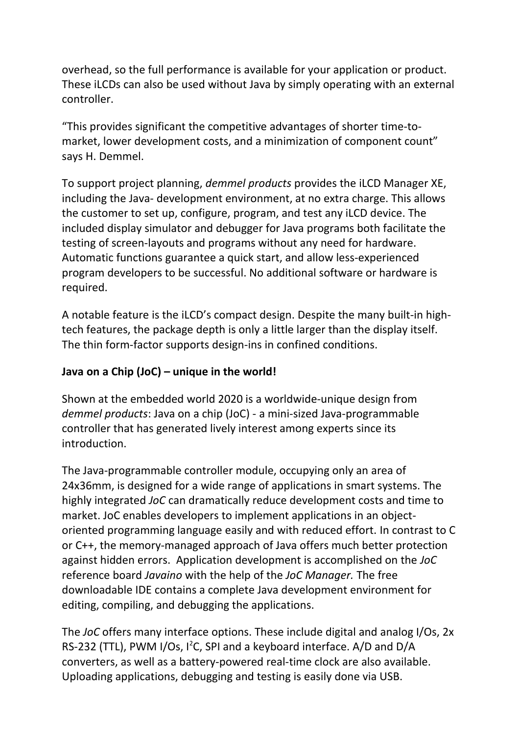overhead, so the full performance is available for your application or product. These iLCDs can also be used without Java by simply operating with an external controller.

"This provides significant the competitive advantages of shorter time-tomarket, lower development costs, and a minimization of component count" says H. Demmel.

To support project planning, *demmel products* provides the iLCD Manager XE, including the Java- development environment, at no extra charge. This allows the customer to set up, configure, program, and test any iLCD device. The included display simulator and debugger for Java programs both facilitate the testing of screen-layouts and programs without any need for hardware. Automatic functions guarantee a quick start, and allow less-experienced program developers to be successful. No additional software or hardware is required.

A notable feature is the iLCD's compact design. Despite the many built-in hightech features, the package depth is only a little larger than the display itself. The thin form-factor supports design-ins in confined conditions.

# **Java on a Chip (JoC) – unique in the world!**

Shown at the embedded world 2020 is a worldwide-unique design from *demmel products*: Java on a chip (JoC) - a mini-sized Java-programmable controller that has generated lively interest among experts since its introduction.

The Java-programmable controller module, occupying only an area of 24x36mm, is designed for a wide range of applications in smart systems. The highly integrated *JoC* can dramatically reduce development costs and time to market. JoC enables developers to implement applications in an objectoriented programming language easily and with reduced effort. In contrast to C or C++, the memory-managed approach of Java offers much better protection against hidden errors. Application development is accomplished on the *JoC* reference board *Javaino* with the help of the *JoC Manager.* The free downloadable IDE contains a complete Java development environment for editing, compiling, and debugging the applications.

The *JoC* offers many interface options. These include digital and analog I/Os, 2x RS-232 (TTL), PWM I/Os,  $I^2C$ , SPI and a keyboard interface. A/D and D/A converters, as well as a battery-powered real-time clock are also available. Uploading applications, debugging and testing is easily done via USB.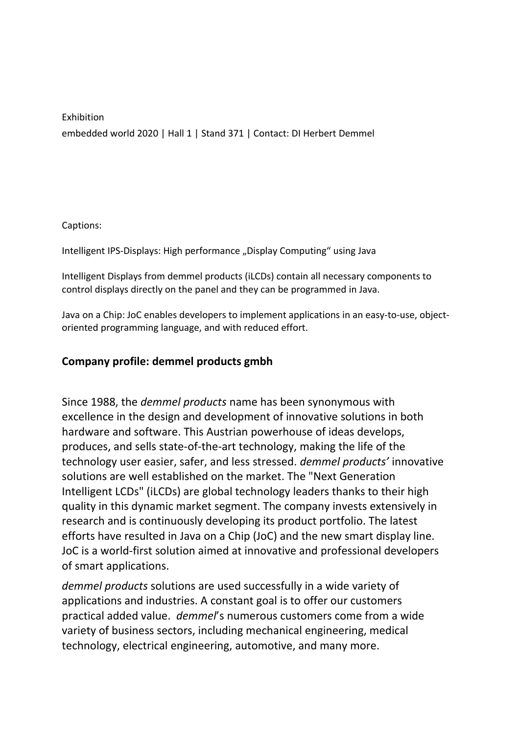Exhibition embedded world 2020 | Hall 1 | Stand 371 | Contact: DI Herbert Demmel

Captions:

Intelligent IPS-Displays: High performance "Display Computing" using Java

Intelligent Displays from demmel products (iLCDs) contain all necessary components to control displays directly on the panel and they can be programmed in Java.

Java on a Chip: JoC enables developers to implement applications in an easy-to-use, objectoriented programming language, and with reduced effort.

### **Company profile: demmel products gmbh**

Since 1988, the *demmel products* name has been synonymous with excellence in the design and development of innovative solutions in both hardware and software. This Austrian powerhouse of ideas develops, produces, and sells state-of-the-art technology, making the life of the technology user easier, safer, and less stressed. *demmel products'* innovative solutions are well established on the market. The "Next Generation Intelligent LCDs" (iLCDs) are global technology leaders thanks to their high quality in this dynamic market segment. The company invests extensively in research and is continuously developing its product portfolio. The latest efforts have resulted in Java on a Chip (JoC) and the new smart display line. JoC is a world-first solution aimed at innovative and professional developers of smart applications.

*demmel products* solutions are used successfully in a wide variety of applications and industries. A constant goal is to offer our customers practical added value. *demmel*'s numerous customers come from a wide variety of business sectors, including mechanical engineering, medical technology, electrical engineering, automotive, and many more.